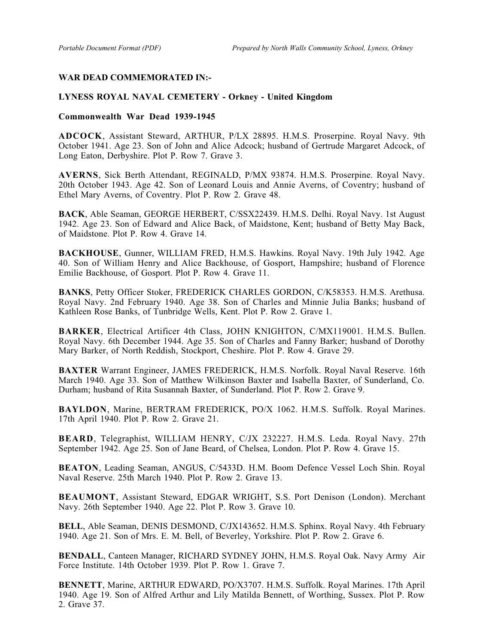## **WAR DEAD COMMEMORATED IN:-**

## **LYNESS ROYAL NAVAL CEMETERY - Orkney - United Kingdom**

## **Commonwealth War Dead 1939-1945**

**ADCOCK**, Assistant Steward, ARTHUR, P/LX 28895. H.M.S. Proserpine. Royal Navy. 9th October 1941. Age 23. Son of John and Alice Adcock; husband of Gertrude Margaret Adcock, of Long Eaton, Derbyshire. Plot P. Row 7. Grave 3.

**AVERNS**, Sick Berth Attendant, REGINALD, P/MX 93874. H.M.S. Proserpine. Royal Navy. 20th October 1943. Age 42. Son of Leonard Louis and Annie Averns, of Coventry; husband of Ethel Mary Averns, of Coventry. Plot P. Row 2. Grave 48.

**BACK**, Able Seaman, GEORGE HERBERT, C/SSX22439. H.M.S. Delhi. Royal Navy. 1st August 1942. Age 23. Son of Edward and Alice Back, of Maidstone, Kent; husband of Betty May Back, of Maidstone. Plot P. Row 4. Grave 14.

**BACKHOUSE**, Gunner, WILLIAM FRED, H.M.S. Hawkins. Royal Navy. 19th July 1942. Age 40. Son of William Henry and Alice Backhouse, of Gosport, Hampshire; husband of Florence Emilie Backhouse, of Gosport. Plot P. Row 4. Grave 11.

**BANKS**, Petty Officer Stoker, FREDERICK CHARLES GORDON, C/K58353. H.M.S. Arethusa. Royal Navy. 2nd February 1940. Age 38. Son of Charles and Minnie Julia Banks; husband of Kathleen Rose Banks, of Tunbridge Wells, Kent. Plot P. Row 2. Grave 1.

**BARKER**, Electrical Artificer 4th Class, JOHN KNIGHTON, C/MX119001. H.M.S. Bullen. Royal Navy. 6th December 1944. Age 35. Son of Charles and Fanny Barker; husband of Dorothy Mary Barker, of North Reddish, Stockport, Cheshire. Plot P. Row 4. Grave 29.

**BAXTER** Warrant Engineer, JAMES FREDERICK, H.M.S. Norfolk. Royal Naval Reserve. 16th March 1940. Age 33. Son of Matthew Wilkinson Baxter and Isabella Baxter, of Sunderland, Co. Durham; husband of Rita Susannah Baxter, of Sunderland. Plot P. Row 2. Grave 9.

**BAYLDON**, Marine, BERTRAM FREDERICK, PO/X 1062. H.M.S. Suffolk. Royal Marines. 17th April 1940. Plot P. Row 2. Grave 21.

**BEARD**, Telegraphist, WILLIAM HENRY, C/JX 232227. H.M.S. Leda. Royal Navy. 27th September 1942. Age 25. Son of Jane Beard, of Chelsea, London. Plot P. Row 4. Grave 15.

**BEATON**, Leading Seaman, ANGUS, C/5433D. H.M. Boom Defence Vessel Loch Shin. Royal Naval Reserve. 25th March 1940. Plot P. Row 2. Grave 13.

**BEAUMONT**, Assistant Steward, EDGAR WRIGHT, S.S. Port Denison (London). Merchant Navy. 26th September 1940. Age 22. Plot P. Row 3. Grave 10.

**BELL**, Able Seaman, DENIS DESMOND, C/JX143652. H.M.S. Sphinx. Royal Navy. 4th February 1940. Age 21. Son of Mrs. E. M. Bell, of Beverley, Yorkshire. Plot P. Row 2. Grave 6.

**BENDALL**, Canteen Manager, RICHARD SYDNEY JOHN, H.M.S. Royal Oak. Navy Army Air Force Institute. 14th October 1939. Plot P. Row 1. Grave 7.

**BENNETT**, Marine, ARTHUR EDWARD, PO/X3707. H.M.S. Suffolk. Royal Marines. 17th April 1940. Age 19. Son of Alfred Arthur and Lily Matilda Bennett, of Worthing, Sussex. Plot P. Row 2. Grave 37.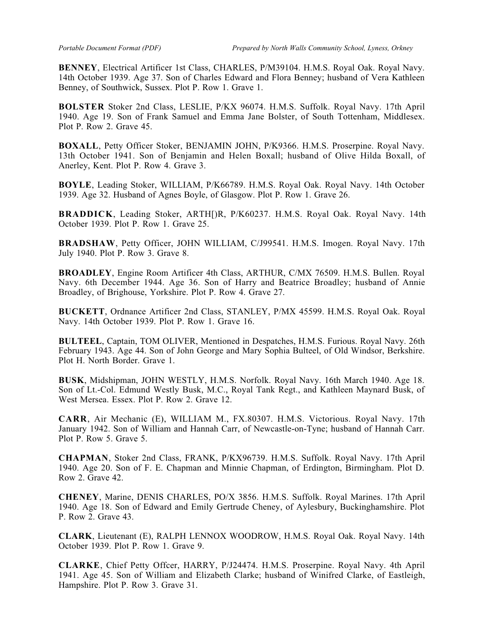**BENNEY**, Electrical Artificer 1st Class, CHARLES, P/M39104. H.M.S. Royal Oak. Royal Navy. 14th October 1939. Age 37. Son of Charles Edward and Flora Benney; husband of Vera Kathleen Benney, of Southwick, Sussex. Plot P. Row 1. Grave 1.

**BOLSTER** Stoker 2nd Class, LESLIE, P/KX 96074. H.M.S. Suffolk. Royal Navy. 17th April 1940. Age 19. Son of Frank Samuel and Emma Jane Bolster, of South Tottenham, Middlesex. Plot P. Row 2. Grave 45.

**BOXALL**, Petty Officer Stoker, BENJAMIN JOHN, P/K9366. H.M.S. Proserpine. Royal Navy. 13th October 1941. Son of Benjamin and Helen Boxall; husband of Olive Hilda Boxall, of Anerley, Kent. Plot P. Row 4. Grave 3.

**BOYLE**, Leading Stoker, WILLIAM, P/K66789. H.M.S. Royal Oak. Royal Navy. 14th October 1939. Age 32. Husband of Agnes Boyle, of Glasgow. Plot P. Row 1. Grave 26.

**BRADDICK**, Leading Stoker, ARTH[)R, P/K60237. H.M.S. Royal Oak. Royal Navy. 14th October 1939. Plot P. Row 1. Grave 25.

**BRADSHAW**, Petty Officer, JOHN WILLIAM, C/J99541. H.M.S. Imogen. Royal Navy. 17th July 1940. Plot P. Row 3. Grave 8.

**BROADLEY**, Engine Room Artificer 4th Class, ARTHUR, C/MX 76509. H.M.S. Bullen. Royal Navy. 6th December 1944. Age 36. Son of Harry and Beatrice Broadley; husband of Annie Broadley, of Brighouse, Yorkshire. Plot P. Row 4. Grave 27.

**BUCKETT**, Ordnance Artificer 2nd Class, STANLEY, P/MX 45599. H.M.S. Royal Oak. Royal Navy. 14th October 1939. Plot P. Row 1. Grave 16.

**BULTEEL**, Captain, TOM OLIVER, Mentioned in Despatches, H.M.S. Furious. Royal Navy. 26th February 1943. Age 44. Son of John George and Mary Sophia Bulteel, of Old Windsor, Berkshire. Plot H. North Border. Grave 1.

**BUSK**, Midshipman, JOHN WESTLY, H.M.S. Norfolk. Royal Navy. 16th March 1940. Age 18. Son of Lt.-Col. Edmund Westly Busk, M.C., Royal Tank Regt., and Kathleen Maynard Busk, of West Mersea. Essex. Plot P. Row 2. Grave 12.

**CARR**, Air Mechanic (E), WILLIAM M., FX.80307. H.M.S. Victorious. Royal Navy. 17th January 1942. Son of William and Hannah Carr, of Newcastle-on-Tyne; husband of Hannah Carr. Plot P. Row 5. Grave 5.

**CHAPMAN**, Stoker 2nd Class, FRANK, P/KX96739. H.M.S. Suffolk. Royal Navy. 17th April 1940. Age 20. Son of F. E. Chapman and Minnie Chapman, of Erdington, Birmingham. Plot D. Row 2. Grave 42.

**CHENEY**, Marine, DENIS CHARLES, PO/X 3856. H.M.S. Suffolk. Royal Marines. 17th April 1940. Age 18. Son of Edward and Emily Gertrude Cheney, of Aylesbury, Buckinghamshire. Plot P. Row 2. Grave 43.

**CLARK**, Lieutenant (E), RALPH LENNOX WOODROW, H.M.S. Royal Oak. Royal Navy. 14th October 1939. Plot P. Row 1. Grave 9.

**CLARKE**, Chief Petty Offcer, HARRY, P/J24474. H.M.S. Proserpine. Royal Navy. 4th April 1941. Age 45. Son of William and Elizabeth Clarke; husband of Winifred Clarke, of Eastleigh, Hampshire. Plot P. Row 3. Grave 31.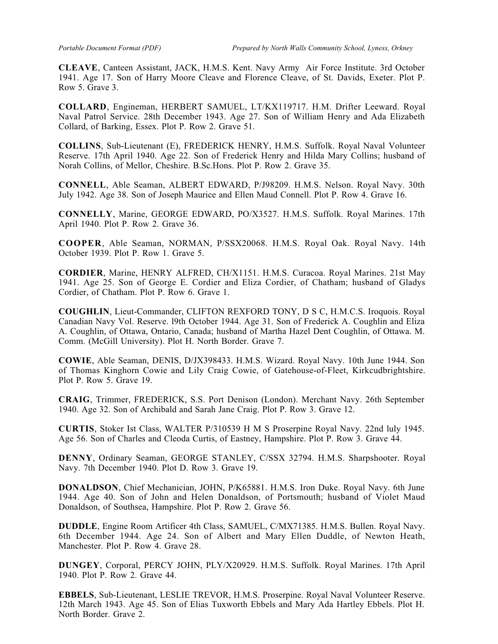**CLEAVE**, Canteen Assistant, JACK, H.M.S. Kent. Navy Army Air Force Institute. 3rd October 1941. Age 17. Son of Harry Moore Cleave and Florence Cleave, of St. Davids, Exeter. Plot P. Row 5. Grave 3.

**COLLARD**, Engineman, HERBERT SAMUEL, LT/KX119717. H.M. Drifter Leeward. Royal Naval Patrol Service. 28th December 1943. Age 27. Son of William Henry and Ada Elizabeth Collard, of Barking, Essex. Plot P. Row 2. Grave 51.

**COLLINS**, Sub-Lieutenant (E), FREDERICK HENRY, H.M.S. Suffolk. Royal Naval Volunteer Reserve. 17th April 1940. Age 22. Son of Frederick Henry and Hilda Mary Collins; husband of Norah Collins, of Mellor, Cheshire. B.Sc.Hons. Plot P. Row 2. Grave 35.

**CONNELL**, Able Seaman, ALBERT EDWARD, P/J98209. H.M.S. Nelson. Royal Navy. 30th July 1942. Age 38. Son of Joseph Maurice and Ellen Maud Connell. Plot P. Row 4. Grave 16.

**CONNELLY**, Marine, GEORGE EDWARD, PO/X3527. H.M.S. Suffolk. Royal Marines. 17th April 1940. Plot P. Row 2. Grave 36.

**COOPER**, Able Seaman, NORMAN, P/SSX20068. H.M.S. Royal Oak. Royal Navy. 14th October 1939. Plot P. Row 1. Grave 5.

**CORDIER**, Marine, HENRY ALFRED, CH/X1151. H.M.S. Curacoa. Royal Marines. 21st May 1941. Age 25. Son of George E. Cordier and Eliza Cordier, of Chatham; husband of Gladys Cordier, of Chatham. Plot P. Row 6. Grave 1.

**COUGHLIN**, Lieut-Commander, CLIFTON REXFORD TONY, D S C, H.M.C.S. Iroquois. Royal Canadian Navy Vol. Reserve. l9th October 1944. Age 31. Son of Frederick A. Coughlin and Eliza A. Coughlin, of Ottawa, Ontario, Canada; husband of Martha Hazel Dent Coughlin, of Ottawa. M. Comm. (McGill University). Plot H. North Border. Grave 7.

**COWIE**, Able Seaman, DENIS, D/JX398433. H.M.S. Wizard. Royal Navy. 10th June 1944. Son of Thomas Kinghorn Cowie and Lily Craig Cowie, of Gatehouse-of-Fleet, Kirkcudbrightshire. Plot P. Row 5. Grave 19.

**CRAIG**, Trimmer, FREDERICK, S.S. Port Denison (London). Merchant Navy. 26th September 1940. Age 32. Son of Archibald and Sarah Jane Craig. Plot P. Row 3. Grave 12.

**CURTIS**, Stoker Ist Class, WALTER P/310539 H M S Proserpine Royal Navy. 22nd luly 1945. Age 56. Son of Charles and Cleoda Curtis, of Eastney, Hampshire. Plot P. Row 3. Grave 44.

**DENNY**, Ordinary Seaman, GEORGE STANLEY, C/SSX 32794. H.M.S. Sharpshooter. Royal Navy. 7th December 1940. Plot D. Row 3. Grave 19.

**DONALDSON**, Chief Mechanician, JOHN, P/K65881. H.M.S. Iron Duke. Royal Navy. 6th June 1944. Age 40. Son of John and Helen Donaldson, of Portsmouth; husband of Violet Maud Donaldson, of Southsea, Hampshire. Plot P. Row 2. Grave 56.

**DUDDLE**, Engine Room Artificer 4th Class, SAMUEL, C/MX71385. H.M.S. Bullen. Royal Navy. 6th December 1944. Age 24. Son of Albert and Mary Ellen Duddle, of Newton Heath, Manchester. Plot P. Row 4. Grave 28.

**DUNGEY**, Corporal, PERCY JOHN, PLY/X20929. H.M.S. Suffolk. Royal Marines. 17th April 1940. Plot P. Row 2. Grave 44.

**EBBELS**, Sub-Lieutenant, LESLIE TREVOR, H.M.S. Proserpine. Royal Naval Volunteer Reserve. 12th March 1943. Age 45. Son of Elias Tuxworth Ebbels and Mary Ada Hartley Ebbels. Plot H. North Border. Grave 2.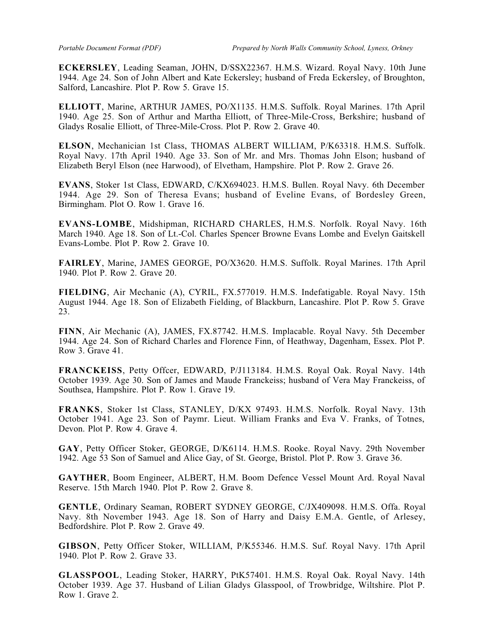**ECKERSLEY**, Leading Seaman, JOHN, D/SSX22367. H.M.S. Wizard. Royal Navy. 10th June 1944. Age 24. Son of John Albert and Kate Eckersley; husband of Freda Eckersley, of Broughton, Salford, Lancashire. Plot P. Row 5. Grave 15.

**ELLIOTT**, Marine, ARTHUR JAMES, PO/X1135. H.M.S. Suffolk. Royal Marines. 17th April 1940. Age 25. Son of Arthur and Martha Elliott, of Three-Mile-Cross, Berkshire; husband of Gladys Rosalie Elliott, of Three-Mile-Cross. Plot P. Row 2. Grave 40.

**ELSON**, Mechanician 1st Class, THOMAS ALBERT WILLIAM, P/K63318. H.M.S. Suffolk. Royal Navy. 17th April 1940. Age 33. Son of Mr. and Mrs. Thomas John Elson; husband of Elizabeth Beryl Elson (nee Harwood), of Elvetham, Hampshire. Plot P. Row 2. Grave 26.

**EVANS**, Stoker 1st Class, EDWARD, C/KX694023. H.M.S. Bullen. Royal Navy. 6th December 1944. Age 29. Son of Theresa Evans; husband of Eveline Evans, of Bordesley Green, Birmingham. Plot O. Row 1. Grave 16.

**EVANS-LOMBE**, Midshipman, RICHARD CHARLES, H.M.S. Norfolk. Royal Navy. 16th March 1940. Age 18. Son of Lt.-Col. Charles Spencer Browne Evans Lombe and Evelyn Gaitskell Evans-Lombe. Plot P. Row 2. Grave 10.

**FAIRLEY**, Marine, JAMES GEORGE, PO/X3620. H.M.S. Suffolk. Royal Marines. 17th April 1940. Plot P. Row 2. Grave 20.

**FIELDING**, Air Mechanic (A), CYRIL, FX.577019. H.M.S. Indefatigable. Royal Navy. 15th August 1944. Age 18. Son of Elizabeth Fielding, of Blackburn, Lancashire. Plot P. Row 5. Grave 23.

**FINN**, Air Mechanic (A), JAMES, FX.87742. H.M.S. Implacable. Royal Navy. 5th December 1944. Age 24. Son of Richard Charles and Florence Finn, of Heathway, Dagenham, Essex. Plot P. Row 3. Grave 41.

**FRANCKEISS**, Petty Offcer, EDWARD, P/J113184. H.M.S. Royal Oak. Royal Navy. 14th October 1939. Age 30. Son of James and Maude Franckeiss; husband of Vera May Franckeiss, of Southsea, Hampshire. Plot P. Row 1. Grave 19.

**FRANKS**, Stoker 1st Class, STANLEY, D/KX 97493. H.M.S. Norfolk. Royal Navy. 13th October 1941. Age 23. Son of Paymr. Lieut. William Franks and Eva V. Franks, of Totnes, Devon. Plot P. Row 4. Grave 4.

**GAY**, Petty Officer Stoker, GEORGE, D/K6114. H.M.S. Rooke. Royal Navy. 29th November 1942. Age 53 Son of Samuel and Alice Gay, of St. George, Bristol. Plot P. Row 3. Grave 36.

**GAYTHER**, Boom Engineer, ALBERT, H.M. Boom Defence Vessel Mount Ard. Royal Naval Reserve. 15th March 1940. Plot P. Row 2. Grave 8.

**GENTLE**, Ordinary Seaman, ROBERT SYDNEY GEORGE, C/JX409098. H.M.S. Offa. Royal Navy. 8th November 1943. Age 18. Son of Harry and Daisy E.M.A. Gentle, of Arlesey, Bedfordshire. Plot P. Row 2. Grave 49.

**GIBSON**, Petty Officer Stoker, WILLIAM, P/K55346. H.M.S. Suf. Royal Navy. 17th April 1940. Plot P. Row 2. Grave 33.

**GLASSPOOL**, Leading Stoker, HARRY, PtK57401. H.M.S. Royal Oak. Royal Navy. 14th October 1939. Age 37. Husband of Lilian Gladys Glasspool, of Trowbridge, Wiltshire. Plot P. Row 1. Grave 2.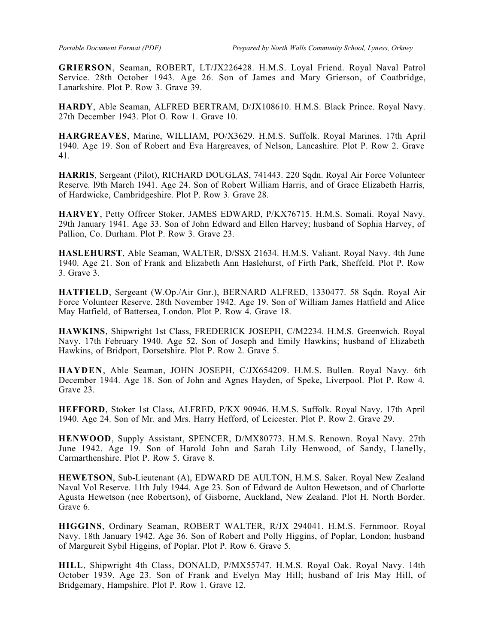**GRIERSON**, Seaman, ROBERT, LT/JX226428. H.M.S. Loyal Friend. Royal Naval Patrol Service. 28th October 1943. Age 26. Son of James and Mary Grierson, of Coatbridge, Lanarkshire. Plot P. Row 3. Grave 39.

**HARDY**, Able Seaman, ALFRED BERTRAM, D/JX108610. H.M.S. Black Prince. Royal Navy. 27th December 1943. Plot O. Row 1. Grave 10.

**HARGREAVES**, Marine, WILLIAM, PO/X3629. H.M.S. Suffolk. Royal Marines. 17th April 1940. Age 19. Son of Robert and Eva Hargreaves, of Nelson, Lancashire. Plot P. Row 2. Grave 41.

**HARRIS**, Sergeant (Pilot), RICHARD DOUGLAS, 741443. 220 Sqdn. Royal Air Force Volunteer Reserve. l9th March 1941. Age 24. Son of Robert William Harris, and of Grace Elizabeth Harris, of Hardwicke, Cambridgeshire. Plot P. Row 3. Grave 28.

**HARVEY**, Petty Offrcer Stoker, JAMES EDWARD, P/KX76715. H.M.S. Somali. Royal Navy. 29th January 1941. Age 33. Son of John Edward and Ellen Harvey; husband of Sophia Harvey, of Pallion, Co. Durham. Plot P. Row 3. Grave 23.

**HASLEHURST**, Able Seaman, WALTER, D/SSX 21634. H.M.S. Valiant. Royal Navy. 4th June 1940. Age 21. Son of Frank and Elizabeth Ann Haslehurst, of Firth Park, Sheffeld. Plot P. Row 3. Grave 3.

**HATFIELD**, Sergeant (W.Op./Air Gnr.), BERNARD ALFRED, 1330477. 58 Sqdn. Royal Air Force Volunteer Reserve. 28th November 1942. Age 19. Son of William James Hatfield and Alice May Hatfield, of Battersea, London. Plot P. Row 4. Grave 18.

**HAWKINS**, Shipwright 1st Class, FREDERICK JOSEPH, C/M2234. H.M.S. Greenwich. Royal Navy. 17th February 1940. Age 52. Son of Joseph and Emily Hawkins; husband of Elizabeth Hawkins, of Bridport, Dorsetshire. Plot P. Row 2. Grave 5.

**HAYDEN**, Able Seaman, JOHN JOSEPH, C/JX654209. H.M.S. Bullen. Royal Navy. 6th December 1944. Age 18. Son of John and Agnes Hayden, of Speke, Liverpool. Plot P. Row 4. Grave 23.

**HEFFORD**, Stoker 1st Class, ALFRED, P/KX 90946. H.M.S. Suffolk. Royal Navy. 17th April 1940. Age 24. Son of Mr. and Mrs. Harry Hefford, of Leicester. Plot P. Row 2. Grave 29.

**HENWOOD**, Supply Assistant, SPENCER, D/MX80773. H.M.S. Renown. Royal Navy. 27th June 1942. Age 19. Son of Harold John and Sarah Lily Henwood, of Sandy, Llanelly, Carmarthenshire. Plot P. Row 5. Grave 8.

**HEWETSON**, Sub-Lieutenant (A), EDWARD DE AULTON, H.M.S. Saker. Royal New Zealand Naval Vol Reserve. 11th July 1944. Age 23. Son of Edward de Aulton Hewetson, and of Charlotte Agusta Hewetson (nee Robertson), of Gisborne, Auckland, New Zealand. Plot H. North Border. Grave 6.

**HIGGINS**, Ordinary Seaman, ROBERT WALTER, R/JX 294041. H.M.S. Fernmoor. Royal Navy. 18th January 1942. Age 36. Son of Robert and Polly Higgins, of Poplar, London; husband of Margureit Sybil Higgins, of Poplar. Plot P. Row 6. Grave 5.

**HILL**, Shipwright 4th Class, DONALD, P/MX55747. H.M.S. Royal Oak. Royal Navy. 14th October 1939. Age 23. Son of Frank and Evelyn May Hill; husband of Iris May Hill, of Bridgemary, Hampshire. Plot P. Row 1. Grave 12.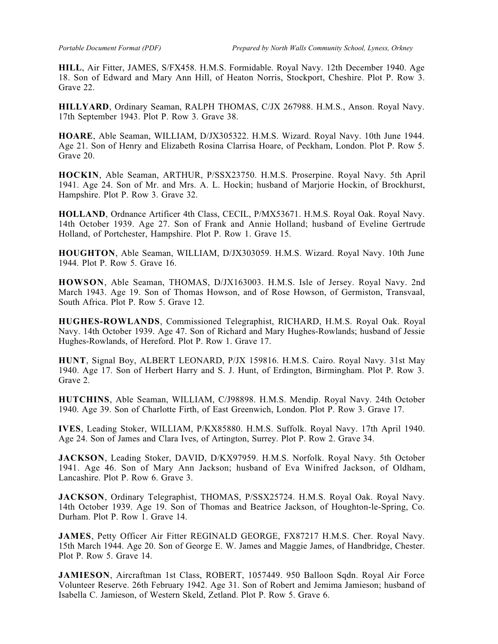**HILL**, Air Fitter, JAMES, S/FX458. H.M.S. Formidable. Royal Navy. 12th December 1940. Age 18. Son of Edward and Mary Ann Hill, of Heaton Norris, Stockport, Cheshire. Plot P. Row 3. Grave 22.

**HILLYARD**, Ordinary Seaman, RALPH THOMAS, C/JX 267988. H.M.S., Anson. Royal Navy. 17th September 1943. Plot P. Row 3. Grave 38.

**HOARE**, Able Seaman, WILLIAM, D/JX305322. H.M.S. Wizard. Royal Navy. 10th June 1944. Age 21. Son of Henry and Elizabeth Rosina Clarrisa Hoare, of Peckham, London. Plot P. Row 5. Grave 20.

**HOCKIN**, Able Seaman, ARTHUR, P/SSX23750. H.M.S. Proserpine. Royal Navy. 5th April 1941. Age 24. Son of Mr. and Mrs. A. L. Hockin; husband of Marjorie Hockin, of Brockhurst, Hampshire. Plot P. Row 3. Grave 32.

**HOLLAND**, Ordnance Artificer 4th Class, CECIL, P/MX53671. H.M.S. Royal Oak. Royal Navy. 14th October 1939. Age 27. Son of Frank and Annie Holland; husband of Eveline Gertrude Holland, of Portchester, Hampshire. Plot P. Row 1. Grave 15.

**HOUGHTON**, Able Seaman, WILLIAM, D/JX303059. H.M.S. Wizard. Royal Navy. 10th June 1944. Plot P. Row 5. Grave 16.

**HOWSON**, Able Seaman, THOMAS, D/JX163003. H.M.S. Isle of Jersey. Royal Navy. 2nd March 1943. Age 19. Son of Thomas Howson, and of Rose Howson, of Germiston, Transvaal, South Africa. Plot P. Row 5. Grave 12.

**HUGHES-ROWLANDS**, Commissioned Telegraphist, RICHARD, H.M.S. Royal Oak. Royal Navy. 14th October 1939. Age 47. Son of Richard and Mary Hughes-Rowlands; husband of Jessie Hughes-Rowlands, of Hereford. Plot P. Row 1. Grave 17.

**HUNT**, Signal Boy, ALBERT LEONARD, P/JX 159816. H.M.S. Cairo. Royal Navy. 31st May 1940. Age 17. Son of Herbert Harry and S. J. Hunt, of Erdington, Birmingham. Plot P. Row 3. Grave 2.

**HUTCHINS**, Able Seaman, WILLIAM, C/J98898. H.M.S. Mendip. Royal Navy. 24th October 1940. Age 39. Son of Charlotte Firth, of East Greenwich, London. Plot P. Row 3. Grave 17.

**IVES**, Leading Stoker, WILLIAM, P/KX85880. H.M.S. Suffolk. Royal Navy. 17th April 1940. Age 24. Son of James and Clara Ives, of Artington, Surrey. Plot P. Row 2. Grave 34.

**JACKSON**, Leading Stoker, DAVID, D/KX97959. H.M.S. Norfolk. Royal Navy. 5th October 1941. Age 46. Son of Mary Ann Jackson; husband of Eva Winifred Jackson, of Oldham, Lancashire. Plot P. Row 6. Grave 3.

**JACKSON**, Ordinary Telegraphist, THOMAS, P/SSX25724. H.M.S. Royal Oak. Royal Navy. 14th October 1939. Age 19. Son of Thomas and Beatrice Jackson, of Houghton-le-Spring, Co. Durham. Plot P. Row 1. Grave 14.

**JAMES**, Petty Officer Air Fitter REGINALD GEORGE, FX87217 H.M.S. Cher. Royal Navy. 15th March 1944. Age 20. Son of George E. W. James and Maggie James, of Handbridge, Chester. Plot P. Row 5. Grave 14.

**JAMIESON**, Aircraftman 1st Class, ROBERT, 1057449. 950 Balloon Sqdn. Royal Air Force Volunteer Reserve. 26th February 1942. Age 31. Son of Robert and Jemima Jamieson; husband of Isabella C. Jamieson, of Western Skeld, Zetland. Plot P. Row 5. Grave 6.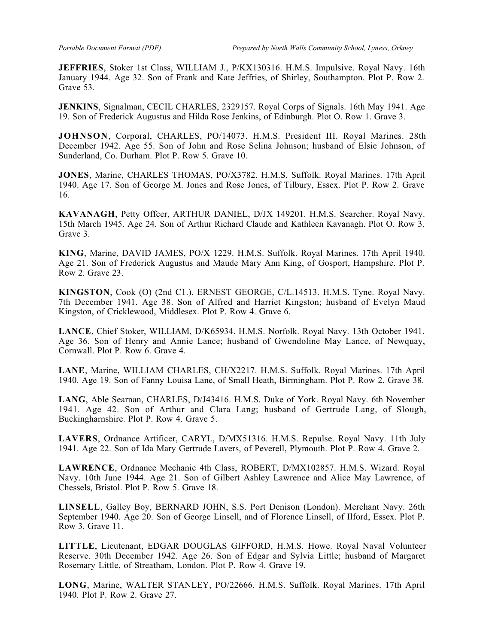**JEFFRIES**, Stoker 1st Class, WILLIAM J., P/KX130316. H.M.S. Impulsive. Royal Navy. 16th January 1944. Age 32. Son of Frank and Kate Jeffries, of Shirley, Southampton. Plot P. Row 2. Grave 53.

**JENKINS**, Signalman, CECIL CHARLES, 2329157. Royal Corps of Signals. 16th May 1941. Age 19. Son of Frederick Augustus and Hilda Rose Jenkins, of Edinburgh. Plot O. Row 1. Grave 3.

**JOHNSON**, Corporal, CHARLES, PO/14073. H.M.S. President III. Royal Marines. 28th December 1942. Age 55. Son of John and Rose Selina Johnson; husband of Elsie Johnson, of Sunderland, Co. Durham. Plot P. Row 5. Grave 10.

**JONES**, Marine, CHARLES THOMAS, PO/X3782. H.M.S. Suffolk. Royal Marines. 17th April 1940. Age 17. Son of George M. Jones and Rose Jones, of Tilbury, Essex. Plot P. Row 2. Grave 16.

**KAVANAGH**, Petty Offcer, ARTHUR DANIEL, D/JX 149201. H.M.S. Searcher. Royal Navy. 15th March 1945. Age 24. Son of Arthur Richard Claude and Kathleen Kavanagh. Plot O. Row 3. Grave 3.

**KING**, Marine, DAVID JAMES, PO/X 1229. H.M.S. Suffolk. Royal Marines. 17th April 1940. Age 21. Son of Frederick Augustus and Maude Mary Ann King, of Gosport, Hampshire. Plot P. Row 2. Grave 23.

**KINGSTON**, Cook (O) (2nd C1.), ERNEST GEORGE, C/L.14513. H.M.S. Tyne. Royal Navy. 7th December 1941. Age 38. Son of Alfred and Harriet Kingston; husband of Evelyn Maud Kingston, of Cricklewood, Middlesex. Plot P. Row 4. Grave 6.

**LANCE**, Chief Stoker, WILLIAM, D/K65934. H.M.S. Norfolk. Royal Navy. 13th October 1941. Age 36. Son of Henry and Annie Lance; husband of Gwendoline May Lance, of Newquay, Cornwall. Plot P. Row 6. Grave 4.

**LANE**, Marine, WILLIAM CHARLES, CH/X2217. H.M.S. Suffolk. Royal Marines. 17th April 1940. Age 19. Son of Fanny Louisa Lane, of Small Heath, Birmingham. Plot P. Row 2. Grave 38.

**LANG**, Able Searnan, CHARLES, D/J43416. H.M.S. Duke of York. Royal Navy. 6th November 1941. Age 42. Son of Arthur and Clara Lang; husband of Gertrude Lang, of Slough, Buckingharnshire. Plot P. Row 4. Grave 5.

**LAVERS**, Ordnance Artificer, CARYL, D/MX51316. H.M.S. Repulse. Royal Navy. 11th July 1941. Age 22. Son of Ida Mary Gertrude Lavers, of Peverell, Plymouth. Plot P. Row 4. Grave 2.

**LAWRENCE**, Ordnance Mechanic 4th Class, ROBERT, D/MX102857. H.M.S. Wizard. Royal Navy. 10th June 1944. Age 21. Son of Gilbert Ashley Lawrence and Alice May Lawrence, of Chessels, Bristol. Plot P. Row 5. Grave 18.

**LINSELL**, Galley Boy, BERNARD JOHN, S.S. Port Denison (London). Merchant Navy. 26th September 1940. Age 20. Son of George Linsell, and of Florence Linsell, of Ilford, Essex. Plot P. Row 3. Grave 11.

**LITTLE**, Lieutenant, EDGAR DOUGLAS GIFFORD, H.M.S. Howe. Royal Naval Volunteer Reserve. 30th December 1942. Age 26. Son of Edgar and Sylvia Little; husband of Margaret Rosemary Little, of Streatham, London. Plot P. Row 4. Grave 19.

**LONG**, Marine, WALTER STANLEY, PO/22666. H.M.S. Suffolk. Royal Marines. 17th April 1940. Plot P. Row 2. Grave 27.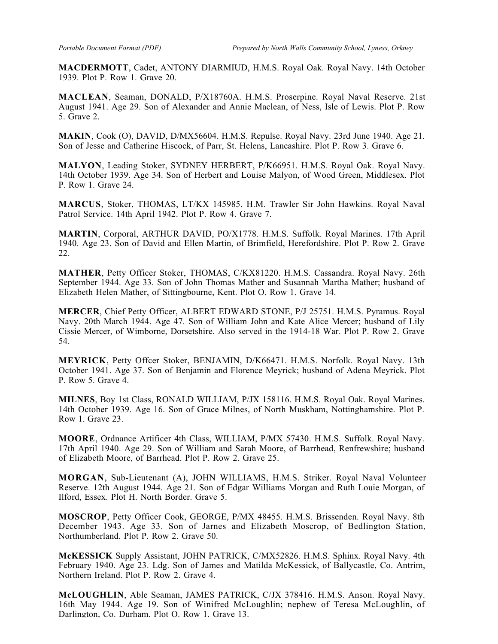**MACDERMOTT**, Cadet, ANTONY DIARMIUD, H.M.S. Royal Oak. Royal Navy. 14th October 1939. Plot P. Row 1. Grave 20.

**MACLEAN**, Seaman, DONALD, P/X18760A. H.M.S. Proserpine. Royal Naval Reserve. 21st August 1941. Age 29. Son of Alexander and Annie Maclean, of Ness, Isle of Lewis. Plot P. Row 5. Grave 2.

**MAKIN**, Cook (O), DAVID, D/MX56604. H.M.S. Repulse. Royal Navy. 23rd June 1940. Age 21. Son of Jesse and Catherine Hiscock, of Parr, St. Helens, Lancashire. Plot P. Row 3. Grave 6.

**MALYON**, Leading Stoker, SYDNEY HERBERT, P/K66951. H.M.S. Royal Oak. Royal Navy. 14th October 1939. Age 34. Son of Herbert and Louise Malyon, of Wood Green, Middlesex. Plot P. Row 1. Grave 24.

**MARCUS**, Stoker, THOMAS, LT/KX 145985. H.M. Trawler Sir John Hawkins. Royal Naval Patrol Service. 14th April 1942. Plot P. Row 4. Grave 7.

**MARTIN**, Corporal, ARTHUR DAVID, PO/X1778. H.M.S. Suffolk. Royal Marines. 17th April 1940. Age 23. Son of David and Ellen Martin, of Brimfield, Herefordshire. Plot P. Row 2. Grave 22.

**MATHER**, Petty Officer Stoker, THOMAS, C/KX81220. H.M.S. Cassandra. Royal Navy. 26th September 1944. Age 33. Son of John Thomas Mather and Susannah Martha Mather; husband of Elizabeth Helen Mather, of Sittingbourne, Kent. Plot O. Row 1. Grave 14.

**MERCER**, Chief Petty Officer, ALBERT EDWARD STONE, P/J 25751. H.M.S. Pyramus. Royal Navy. 20th March 1944. Age 47. Son of William John and Kate Alice Mercer; husband of Lily Cissie Mercer, of Wimborne, Dorsetshire. Also served in the 1914-18 War. Plot P. Row 2. Grave 54.

**MEYRICK**, Petty Offcer Stoker, BENJAMIN, D/K66471. H.M.S. Norfolk. Royal Navy. 13th October 1941. Age 37. Son of Benjamin and Florence Meyrick; husband of Adena Meyrick. Plot P. Row 5. Grave 4.

**MILNES**, Boy 1st Class, RONALD WILLIAM, P/JX 158116. H.M.S. Royal Oak. Royal Marines. 14th October 1939. Age 16. Son of Grace Milnes, of North Muskham, Nottinghamshire. Plot P. Row 1. Grave 23.

**MOORE**, Ordnance Artificer 4th Class, WILLIAM, P/MX 57430. H.M.S. Suffolk. Royal Navy. 17th April 1940. Age 29. Son of William and Sarah Moore, of Barrhead, Renfrewshire; husband of Elizabeth Moore, of Barrhead. Plot P. Row 2. Grave 25.

**MORGAN**, Sub-Lieutenant (A), JOHN WILLIAMS, H.M.S. Striker. Royal Naval Volunteer Reserve. 12th August 1944. Age 21. Son of Edgar Williams Morgan and Ruth Louie Morgan, of Ilford, Essex. Plot H. North Border. Grave 5.

**MOSCROP**, Petty Officer Cook, GEORGE, P/MX 48455. H.M.S. Brissenden. Royal Navy. 8th December 1943. Age 33. Son of Jarnes and Elizabeth Moscrop, of Bedlington Station, Northumberland. Plot P. Row 2. Grave 50.

**McKESSICK** Supply Assistant, JOHN PATRICK, C/MX52826. H.M.S. Sphinx. Royal Navy. 4th February 1940. Age 23. Ldg. Son of James and Matilda McKessick, of Ballycastle, Co. Antrim, Northern Ireland. Plot P. Row 2. Grave 4.

**McLOUGHLIN**, Able Seaman, JAMES PATRICK, C/JX 378416. H.M.S. Anson. Royal Navy. 16th May 1944. Age 19. Son of Winifred McLoughlin; nephew of Teresa McLoughlin, of Darlington, Co. Durham. Plot O. Row 1. Grave 13.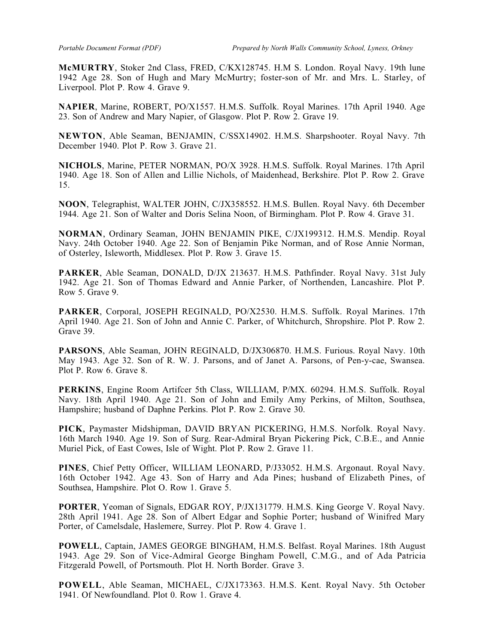**McMURTRY**, Stoker 2nd Class, FRED, C/KX128745. H.M S. London. Royal Navy. 19th lune 1942 Age 28. Son of Hugh and Mary McMurtry; foster-son of Mr. and Mrs. L. Starley, of Liverpool. Plot P. Row 4. Grave 9.

**NAPIER**, Marine, ROBERT, PO/X1557. H.M.S. Suffolk. Royal Marines. 17th April 1940. Age 23. Son of Andrew and Mary Napier, of Glasgow. Plot P. Row 2. Grave 19.

**NEWTON**, Able Seaman, BENJAMIN, C/SSX14902. H.M.S. Sharpshooter. Royal Navy. 7th December 1940. Plot P. Row 3. Grave 21.

**NICHOLS**, Marine, PETER NORMAN, PO/X 3928. H.M.S. Suffolk. Royal Marines. 17th April 1940. Age 18. Son of Allen and Lillie Nichols, of Maidenhead, Berkshire. Plot P. Row 2. Grave 15.

**NOON**, Telegraphist, WALTER JOHN, C/JX358552. H.M.S. Bullen. Royal Navy. 6th December 1944. Age 21. Son of Walter and Doris Selina Noon, of Birmingham. Plot P. Row 4. Grave 31.

**NORMAN**, Ordinary Seaman, JOHN BENJAMIN PIKE, C/JX199312. H.M.S. Mendip. Royal Navy. 24th October 1940. Age 22. Son of Benjamin Pike Norman, and of Rose Annie Norman, of Osterley, Isleworth, Middlesex. Plot P. Row 3. Grave 15.

**PARKER**, Able Seaman, DONALD, D/JX 213637. H.M.S. Pathfinder. Royal Navy. 31st July 1942. Age 21. Son of Thomas Edward and Annie Parker, of Northenden, Lancashire. Plot P. Row 5. Grave 9.

**PARKER**, Corporal, JOSEPH REGINALD, PO/X2530. H.M.S. Suffolk. Royal Marines. 17th April 1940. Age 21. Son of John and Annie C. Parker, of Whitchurch, Shropshire. Plot P. Row 2. Grave 39.

**PARSONS**, Able Seaman, JOHN REGINALD, D/JX306870. H.M.S. Furious. Royal Navy. 10th May 1943. Age 32. Son of R. W. J. Parsons, and of Janet A. Parsons, of Pen-y-cae, Swansea. Plot P. Row 6. Grave 8.

**PERKINS**, Engine Room Artifcer 5th Class, WILLIAM, P/MX. 60294. H.M.S. Suffolk. Royal Navy. 18th April 1940. Age 21. Son of John and Emily Amy Perkins, of Milton, Southsea, Hampshire; husband of Daphne Perkins. Plot P. Row 2. Grave 30.

**PICK**, Paymaster Midshipman, DAVID BRYAN PICKERING, H.M.S. Norfolk. Royal Navy. 16th March 1940. Age 19. Son of Surg. Rear-Admiral Bryan Pickering Pick, C.B.E., and Annie Muriel Pick, of East Cowes, Isle of Wight. Plot P. Row 2. Grave 11.

**PINES**, Chief Petty Officer, WILLIAM LEONARD, P/J33052. H.M.S. Argonaut. Royal Navy. 16th October 1942. Age 43. Son of Harry and Ada Pines; husband of Elizabeth Pines, of Southsea, Hampshire. Plot O. Row 1. Grave 5.

**PORTER**, Yeoman of Signals, EDGAR ROY, P/JX131779. H.M.S. King George V. Royal Navy. 28th April 1941. Age 28. Son of Albert Edgar and Sophie Porter; husband of Winifred Mary Porter, of Camelsdale, Haslemere, Surrey. Plot P. Row 4. Grave 1.

**POWELL**, Captain, JAMES GEORGE BINGHAM, H.M.S. Belfast. Royal Marines. 18th August 1943. Age 29. Son of Vice-Admiral George Bingham Powell, C.M.G., and of Ada Patricia Fitzgerald Powell, of Portsmouth. Plot H. North Border. Grave 3.

**POWELL**, Able Seaman, MICHAEL, C/JX173363. H.M.S. Kent. Royal Navy. 5th October 1941. Of Newfoundland. Plot 0. Row 1. Grave 4.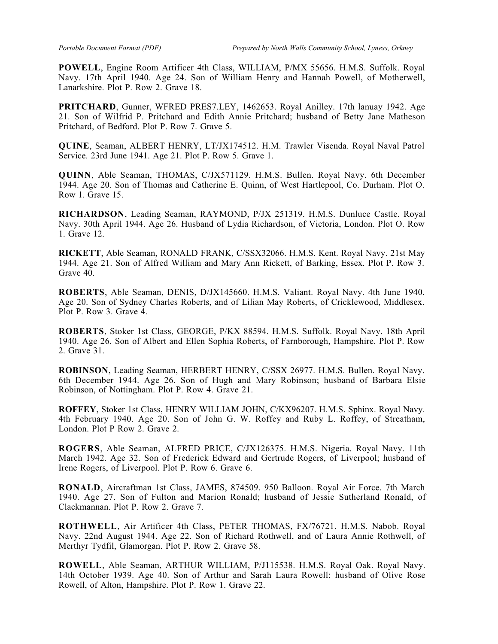**POWELL**, Engine Room Artificer 4th Class, WILLIAM, P/MX 55656. H.M.S. Suffolk. Royal Navy. 17th April 1940. Age 24. Son of William Henry and Hannah Powell, of Motherwell, Lanarkshire. Plot P. Row 2. Grave 18.

**PRITCHARD**, Gunner, WFRED PRES7.LEY, 1462653. Royal Anilley. 17th lanuay 1942. Age 21. Son of Wilfrid P. Pritchard and Edith Annie Pritchard; husband of Betty Jane Matheson Pritchard, of Bedford. Plot P. Row 7. Grave 5.

**QUINE**, Seaman, ALBERT HENRY, LT/JX174512. H.M. Trawler Visenda. Royal Naval Patrol Service. 23rd June 1941. Age 21. Plot P. Row 5. Grave 1.

**QUINN**, Able Seaman, THOMAS, C/JX571129. H.M.S. Bullen. Royal Navy. 6th December 1944. Age 20. Son of Thomas and Catherine E. Quinn, of West Hartlepool, Co. Durham. Plot O. Row 1. Grave 15.

**RICHARDSON**, Leading Seaman, RAYMOND, P/JX 251319. H.M.S. Dunluce Castle. Royal Navy. 30th April 1944. Age 26. Husband of Lydia Richardson, of Victoria, London. Plot O. Row 1. Grave 12.

**RICKETT**, Able Seaman, RONALD FRANK, C/SSX32066. H.M.S. Kent. Royal Navy. 21st May 1944. Age 21. Son of Alfred William and Mary Ann Rickett, of Barking, Essex. Plot P. Row 3. Grave 40.

**ROBERTS**, Able Seaman, DENIS, D/JX145660. H.M.S. Valiant. Royal Navy. 4th June 1940. Age 20. Son of Sydney Charles Roberts, and of Lilian May Roberts, of Cricklewood, Middlesex. Plot P. Row 3. Grave 4.

**ROBERTS**, Stoker 1st Class, GEORGE, P/KX 88594. H.M.S. Suffolk. Royal Navy. 18th April 1940. Age 26. Son of Albert and Ellen Sophia Roberts, of Farnborough, Hampshire. Plot P. Row 2. Grave 31.

**ROBINSON**, Leading Seaman, HERBERT HENRY, C/SSX 26977. H.M.S. Bullen. Royal Navy. 6th December 1944. Age 26. Son of Hugh and Mary Robinson; husband of Barbara Elsie Robinson, of Nottingham. Plot P. Row 4. Grave 21.

**ROFFEY**, Stoker 1st Class, HENRY WILLIAM JOHN, C/KX96207. H.M.S. Sphinx. Royal Navy. 4th February 1940. Age 20. Son of John G. W. Roffey and Ruby L. Roffey, of Streatham, London. Plot P Row 2. Grave 2.

**ROGERS**, Able Seaman, ALFRED PRICE, C/JX126375. H.M.S. Nigeria. Royal Navy. 11th March 1942. Age 32. Son of Frederick Edward and Gertrude Rogers, of Liverpool; husband of Irene Rogers, of Liverpool. Plot P. Row 6. Grave 6.

**RONALD**, Aircraftman 1st Class, JAMES, 874509. 950 Balloon. Royal Air Force. 7th March 1940. Age 27. Son of Fulton and Marion Ronald; husband of Jessie Sutherland Ronald, of Clackmannan. Plot P. Row 2. Grave 7.

**ROTHWELL**, Air Artificer 4th Class, PETER THOMAS, FX/76721. H.M.S. Nabob. Royal Navy. 22nd August 1944. Age 22. Son of Richard Rothwell, and of Laura Annie Rothwell, of Merthyr Tydfil, Glamorgan. Plot P. Row 2. Grave 58.

**ROWELL**, Able Seaman, ARTHUR WILLIAM, P/J115538. H.M.S. Royal Oak. Royal Navy. 14th October 1939. Age 40. Son of Arthur and Sarah Laura Rowell; husband of Olive Rose Rowell, of Alton, Hampshire. Plot P. Row 1. Grave 22.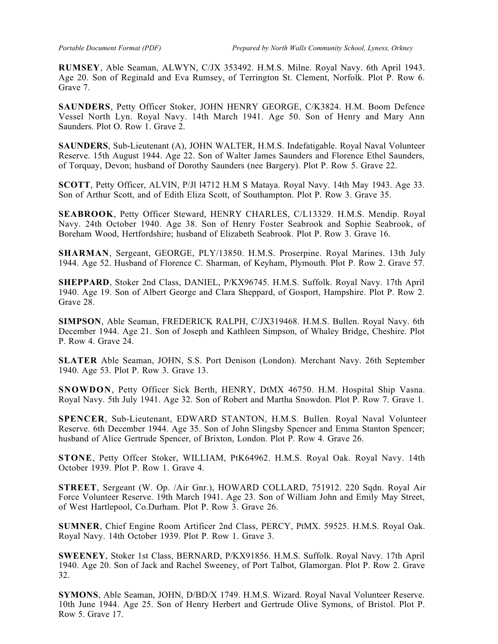**RUMSEY**, Able Seaman, ALWYN, C/JX 353492. H.M.S. Milne. Royal Navy. 6th April 1943. Age 20. Son of Reginald and Eva Rumsey, of Terrington St. Clement, Norfolk. Plot P. Row 6. Grave 7.

**SAUNDERS**, Petty Officer Stoker, JOHN HENRY GEORGE, C/K3824. H.M. Boom Defence Vessel North Lyn. Royal Navy. 14th March 1941. Age 50. Son of Henry and Mary Ann Saunders. Plot O. Row 1. Grave 2.

**SAUNDERS**, Sub-Lieutenant (A), JOHN WALTER, H.M.S. Indefatigable. Royal Naval Volunteer Reserve. 15th August 1944. Age 22. Son of Walter James Saunders and Florence Ethel Saunders, of Torquay, Devon; husband of Dorothy Saunders (nee Bargery). Plot P. Row 5. Grave 22.

**SCOTT**, Petty Officer, ALVIN, P/Jl l4712 H.M S Mataya. Royal Navy. 14th May 1943. Age 33. Son of Arthur Scott, and of Edith Eliza Scott, of Southampton. Plot P. Row 3. Grave 35.

**SEABROOK**, Petty Officer Steward, HENRY CHARLES, C/L13329. H.M.S. Mendip. Royal Navy. 24th October 1940. Age 38. Son of Henry Foster Seabrook and Sophie Seabrook, of Boreham Wood, Hertfordshire; husband of Elizabeth Seabrook. Plot P. Row 3. Grave 16.

**SHARMAN**, Sergeant, GEORGE, PLY/13850. H.M.S. Proserpine. Royal Marines. 13th July 1944. Age 52. Husband of Florence C. Sharman, of Keyham, Plymouth. Plot P. Row 2. Grave 57.

**SHEPPARD**, Stoker 2nd Class, DANIEL, P/KX96745. H.M.S. Suffolk. Royal Navy. 17th April 1940. Age 19. Son of Albert George and Clara Sheppard, of Gosport, Hampshire. Plot P. Row 2. Grave 28.

**SIMPSON**, Able Seaman, FREDERICK RALPH, C/JX319468. H.M.S. Bullen. Royal Navy. 6th December 1944. Age 21. Son of Joseph and Kathleen Simpson, of Whaley Bridge, Cheshire. Plot P. Row 4. Grave 24.

**SLATER** Able Seaman, JOHN, S.S. Port Denison (London). Merchant Navy. 26th September 1940. Age 53. Plot P. Row 3. Grave 13.

**SNOWDON**, Petty Officer Sick Berth, HENRY, DtMX 46750. H.M. Hospital Ship Vasna. Royal Navy. 5th July 1941. Age 32. Son of Robert and Martha Snowdon. Plot P. Row 7. Grave 1.

**SPENCER**, Sub-Lieutenant, EDWARD STANTON, H.M.S. Bullen. Royal Naval Volunteer Reserve. 6th December 1944. Age 35. Son of John Slingsby Spencer and Emma Stanton Spencer; husband of Alice Gertrude Spencer, of Brixton, London. Plot P. Row 4. Grave 26.

**STONE**, Petty Offcer Stoker, WILLIAM, PtK64962. H.M.S. Royal Oak. Royal Navy. 14th October 1939. Plot P. Row 1. Grave 4.

**STREET**, Sergeant (W. Op. /Air Gnr.), HOWARD COLLARD, 751912. 220 Sqdn. Royal Air Force Volunteer Reserve. 19th March 1941. Age 23. Son of William John and Emily May Street, of West Hartlepool, Co.Durham. Plot P. Row 3. Grave 26.

**SUMNER**, Chief Engine Room Artificer 2nd Class, PERCY, PtMX. 59525. H.M.S. Royal Oak. Royal Navy. 14th October 1939. Plot P. Row 1. Grave 3.

**SWEENEY**, Stoker 1st Class, BERNARD, P/KX91856. H.M.S. Suffolk. Royal Navy. 17th April 1940. Age 20. Son of Jack and Rachel Sweeney, of Port Talbot, Glamorgan. Plot P. Row 2. Grave 32.

**SYMONS**, Able Seaman, JOHN, D/BD/X 1749. H.M.S. Wizard. Royal Naval Volunteer Reserve. 10th June 1944. Age 25. Son of Henry Herbert and Gertrude Olive Symons, of Bristol. Plot P. Row 5. Grave 17.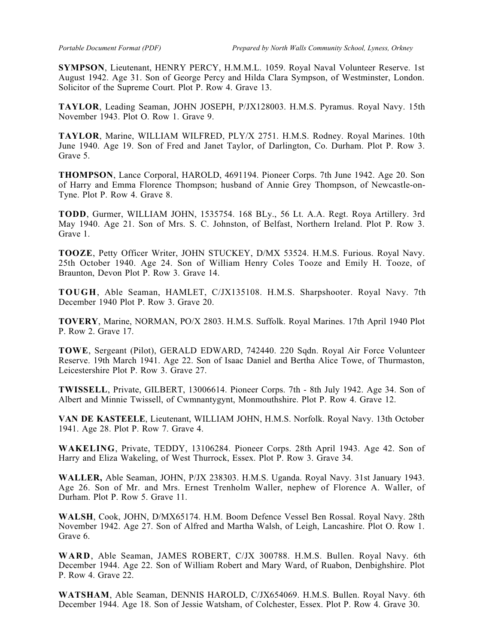**SYMPSON**, Lieutenant, HENRY PERCY, H.M.M.L. 1059. Royal Naval Volunteer Reserve. 1st August 1942. Age 31. Son of George Percy and Hilda Clara Sympson, of Westminster, London. Solicitor of the Supreme Court. Plot P. Row 4. Grave 13.

**TAYLOR**, Leading Seaman, JOHN JOSEPH, P/JX128003. H.M.S. Pyramus. Royal Navy. 15th November 1943. Plot O. Row 1. Grave 9.

**TAYLOR**, Marine, WILLIAM WILFRED, PLY/X 2751. H.M.S. Rodney. Royal Marines. 10th June 1940. Age 19. Son of Fred and Janet Taylor, of Darlington, Co. Durham. Plot P. Row 3. Grave 5.

**THOMPSON**, Lance Corporal, HAROLD, 4691194. Pioneer Corps. 7th June 1942. Age 20. Son of Harry and Emma Florence Thompson; husband of Annie Grey Thompson, of Newcastle-on-Tyne. Plot P. Row 4. Grave 8.

**TODD**, Gurmer, WILLIAM JOHN, 1535754. 168 BLy., 56 Lt. A.A. Regt. Roya Artillery. 3rd May 1940. Age 21. Son of Mrs. S. C. Johnston, of Belfast, Northern Ireland. Plot P. Row 3. Grave 1.

**TOOZE**, Petty Officer Writer, JOHN STUCKEY, D/MX 53524. H.M.S. Furious. Royal Navy. 25th October 1940. Age 24. Son of William Henry Coles Tooze and Emily H. Tooze, of Braunton, Devon Plot P. Row 3. Grave 14.

**TOUGH**, Able Seaman, HAMLET, C/JX135108. H.M.S. Sharpshooter. Royal Navy. 7th December 1940 Plot P. Row 3. Grave 20.

**TOVERY**, Marine, NORMAN, PO/X 2803. H.M.S. Suffolk. Royal Marines. 17th April 1940 Plot P. Row 2. Grave 17.

**TOWE**, Sergeant (Pilot), GERALD EDWARD, 742440. 220 Sqdn. Royal Air Force Volunteer Reserve. 19th March 1941. Age 22. Son of Isaac Daniel and Bertha Alice Towe, of Thurmaston, Leicestershire Plot P. Row 3. Grave 27.

**TWISSELL**, Private, GILBERT, 13006614. Pioneer Corps. 7th - 8th July 1942. Age 34. Son of Albert and Minnie Twissell, of Cwmnantygynt, Monmouthshire. Plot P. Row 4. Grave 12.

**VAN DE KASTEELE**, Lieutenant, WILLIAM JOHN, H.M.S. Norfolk. Royal Navy. 13th October 1941. Age 28. Plot P. Row 7. Grave 4.

**WAKELING**, Private, TEDDY, 13106284. Pioneer Corps. 28th April 1943. Age 42. Son of Harry and Eliza Wakeling, of West Thurrock, Essex. Plot P. Row 3. Grave 34.

**WALLER,** Able Seaman, JOHN, P/JX 238303. H.M.S. Uganda. Royal Navy. 31st January 1943. Age 26. Son of Mr. and Mrs. Ernest Trenholm Waller, nephew of Florence A. Waller, of Durham. Plot P. Row 5. Grave 11.

**WALSH**, Cook, JOHN, D/MX65174. H.M. Boom Defence Vessel Ben Rossal. Royal Navy. 28th November 1942. Age 27. Son of Alfred and Martha Walsh, of Leigh, Lancashire. Plot O. Row 1. Grave 6.

**WARD**, Able Seaman, JAMES ROBERT, C/JX 300788. H.M.S. Bullen. Royal Navy. 6th December 1944. Age 22. Son of William Robert and Mary Ward, of Ruabon, Denbighshire. Plot P. Row 4. Grave 22.

**WATSHAM**, Able Seaman, DENNIS HAROLD, C/JX654069. H.M.S. Bullen. Royal Navy. 6th December 1944. Age 18. Son of Jessie Watsham, of Colchester, Essex. Plot P. Row 4. Grave 30.